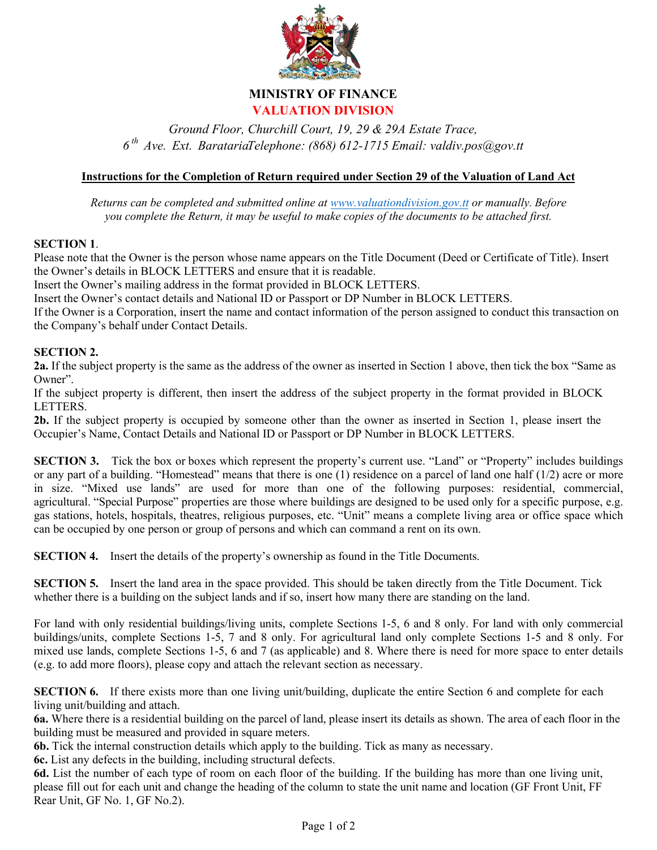

### **MINISTRY OF FINANCE VALUATION DIVISION**

*Ground Floor, Churchill Court, 19, 29 & 29A Estate Trace, 6 th Ave. Ext. BaratariaTelephone: (868) 612-1715 Email: valdiv.pos@gov.tt*

#### **Instructions for the Completion of Return required under Section 29 of the Valuation of Land Act**

*Returns can be completed and submitted online at [www.valuationdivision.gov.tt](http://www.valuationdivision.gov.tt/) or manually. Before you complete the Return, it may be useful to make copies of the documents to be attached first.*

#### **SECTION 1**.

Please note that the Owner is the person whose name appears on the Title Document (Deed or Certificate of Title). Insert the Owner's details in BLOCK LETTERS and ensure that it is readable.

Insert the Owner's mailing address in the format provided in BLOCK LETTERS.

Insert the Owner's contact details and National ID or Passport or DP Number in BLOCK LETTERS.

If the Owner is a Corporation, insert the name and contact information of the person assigned to conduct this transaction on the Company's behalf under Contact Details.

#### **SECTION 2.**

**2a.** If the subject property is the same as the address of the owner as inserted in Section 1 above, then tick the box "Same as Owner".

If the subject property is different, then insert the address of the subject property in the format provided in BLOCK LETTERS.

**2b.** If the subject property is occupied by someone other than the owner as inserted in Section 1, please insert the Occupier's Name, Contact Details and National ID or Passport or DP Number in BLOCK LETTERS.

**SECTION 3.** Tick the box or boxes which represent the property's current use. "Land" or "Property" includes buildings or any part of a building. "Homestead" means that there is one (1) residence on a parcel of land one half (1/2) acre or more in size. "Mixed use lands" are used for more than one of the following purposes: residential, commercial, agricultural. "Special Purpose" properties are those where buildings are designed to be used only for a specific purpose, e.g. gas stations, hotels, hospitals, theatres, religious purposes, etc. "Unit" means a complete living area or office space which can be occupied by one person or group of persons and which can command a rent on its own.

**SECTION 4.** Insert the details of the property's ownership as found in the Title Documents.

**SECTION 5.** Insert the land area in the space provided. This should be taken directly from the Title Document. Tick whether there is a building on the subject lands and if so, insert how many there are standing on the land.

For land with only residential buildings/living units, complete Sections 1-5, 6 and 8 only. For land with only commercial buildings/units, complete Sections 1-5, 7 and 8 only. For agricultural land only complete Sections 1-5 and 8 only. For mixed use lands, complete Sections 1-5, 6 and 7 (as applicable) and 8. Where there is need for more space to enter details (e.g. to add more floors), please copy and attach the relevant section as necessary.

**SECTION 6.** If there exists more than one living unit/building, duplicate the entire Section 6 and complete for each living unit/building and attach.

**6a.** Where there is a residential building on the parcel of land, please insert its details as shown. The area of each floor in the building must be measured and provided in square meters.

**6b.** Tick the internal construction details which apply to the building. Tick as many as necessary.

**6c.** List any defects in the building, including structural defects.

**6d.** List the number of each type of room on each floor of the building. If the building has more than one living unit, please fill out for each unit and change the heading of the column to state the unit name and location (GF Front Unit, FF Rear Unit, GF No. 1, GF No.2).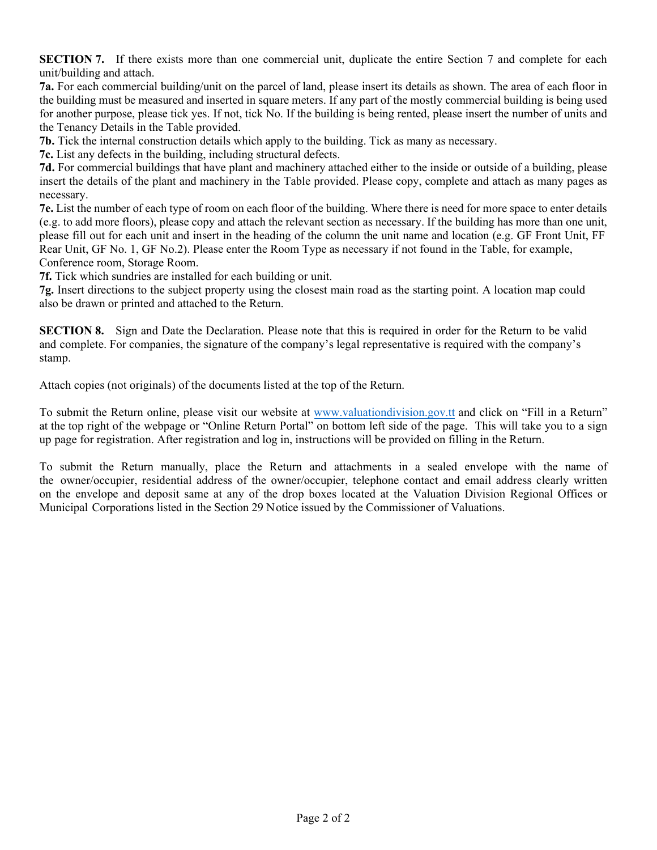**SECTION 7.** If there exists more than one commercial unit, duplicate the entire Section 7 and complete for each unit/building and attach.

**7a.** For each commercial building/unit on the parcel of land, please insert its details as shown. The area of each floor in the building must be measured and inserted in square meters. If any part of the mostly commercial building is being used for another purpose, please tick yes. If not, tick No. If the building is being rented, please insert the number of units and the Tenancy Details in the Table provided.

**7b.** Tick the internal construction details which apply to the building. Tick as many as necessary.

**7c.** List any defects in the building, including structural defects.

**7d.** For commercial buildings that have plant and machinery attached either to the inside or outside of a building, please insert the details of the plant and machinery in the Table provided. Please copy, complete and attach as many pages as necessary.

**7e.** List the number of each type of room on each floor of the building. Where there is need for more space to enter details (e.g. to add more floors), please copy and attach the relevant section as necessary. If the building has more than one unit, please fill out for each unit and insert in the heading of the column the unit name and location (e.g. GF Front Unit, FF Rear Unit, GF No. 1, GF No.2). Please enter the Room Type as necessary if not found in the Table, for example, Conference room, Storage Room.

**7f.** Tick which sundries are installed for each building or unit.

**7g.** Insert directions to the subject property using the closest main road as the starting point. A location map could also be drawn or printed and attached to the Return.

**SECTION 8.** Sign and Date the Declaration. Please note that this is required in order for the Return to be valid and complete. For companies, the signature of the company's legal representative is required with the company's stamp.

Attach copies (not originals) of the documents listed at the top of the Return.

To submit the Return online, please visit our website at [www.valuationdivision.gov.tt](http://www.valuationdivision.gov.tt/) and click on "Fill in a Return" at the top right of the webpage or "Online Return Portal" on bottom left side of the page. This will take you to a sign up page for registration. After registration and log in, instructions will be provided on filling in the Return.

To submit the Return manually, place the Return and attachments in a sealed envelope with the name of the owner/occupier, residential address of the owner/occupier, telephone contact and email address clearly written on the envelope and deposit same at any of the drop boxes located at the Valuation Division Regional Offices or Municipal Corporations listed in the Section 29 Notice issued by the Commissioner of Valuations.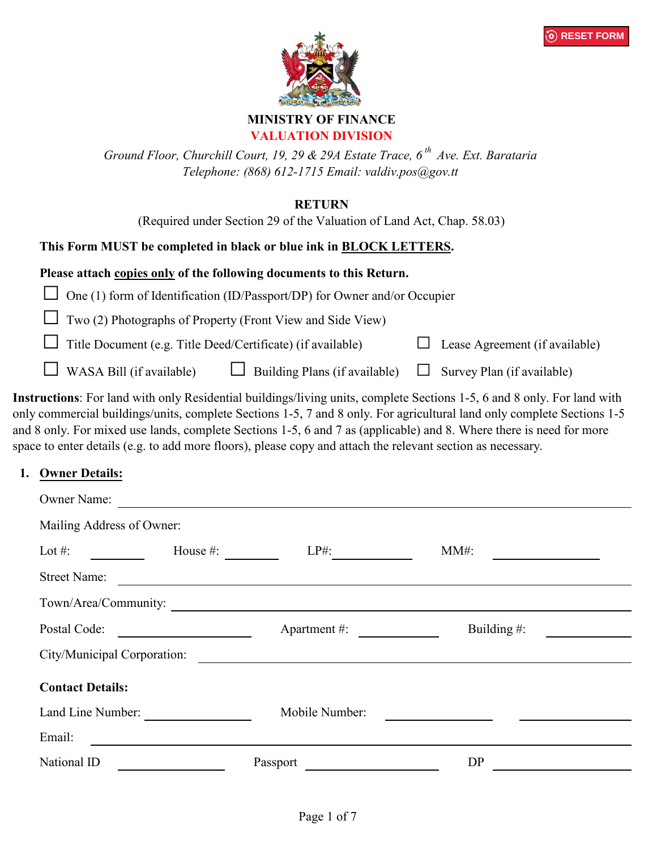



#### **MINISTRY OF FINANCE VALUATION DIVISION**

*Ground Floor, Churchill Court, 19, 29 & 29A Estate Trace, 6 th Ave. Ext. Barataria Telephone: (868) 612-1715 Email: valdiv.pos@gov.tt*

### **RETURN**

(Required under Section 29 of the Valuation of Land Act, Chap. 58.03)

## **This Form MUST be completed in black or blue ink in BLOCK LETTERS.**

#### **Please attach copies only of the following documents to this Return.**

 $\Box$  One (1) form of Identification (ID/Passport/DP) for Owner and/or Occupier

Two (2) Photographs of Property (Front View and Side View)

Title Document (e.g. Title Deed/Certificate) (if available)  $\Box$  Lease Agreement (if available)

WASA Bill (if available)  $\Box$  Building Plans (if available)  $\Box$  Survey Plan (if available)

**Instructions**: For land with only Residential buildings/living units, complete Sections 1-5, 6 and 8 only. For land with only commercial buildings/units, complete Sections 1-5, 7 and 8 only. For agricultural land only complete Sections 1-5 and 8 only. For mixed use lands, complete Sections 1-5, 6 and 7 as (applicable) and 8. Where there is need for more space to enter details (e.g. to add more floors), please copy and attach the relevant section as necessary.

### **1. Owner Details:**

| <b>Owner Name:</b>                                               |                                                                                                                      |                |  |  |  |  |  |  |  |
|------------------------------------------------------------------|----------------------------------------------------------------------------------------------------------------------|----------------|--|--|--|--|--|--|--|
| Mailing Address of Owner:                                        |                                                                                                                      |                |  |  |  |  |  |  |  |
| House #:<br>Lot $#$ :                                            | $LP#$ :                                                                                                              | $MM#$ :        |  |  |  |  |  |  |  |
| <b>Street Name:</b>                                              | <u> 1989 - Jan James James Barnett, amerikan bisa di sebagai pertama pertama pertama pertama pertama pertama per</u> |                |  |  |  |  |  |  |  |
| Town/Area/Community:                                             |                                                                                                                      |                |  |  |  |  |  |  |  |
| Postal Code:<br><u> 1980 - Jan Stein Stein, fransk politik (</u> | Apartment #:                                                                                                         | Building $#$ : |  |  |  |  |  |  |  |
| City/Municipal Corporation:                                      |                                                                                                                      |                |  |  |  |  |  |  |  |
| <b>Contact Details:</b>                                          |                                                                                                                      |                |  |  |  |  |  |  |  |
| Land Line Number:                                                | Mobile Number:                                                                                                       |                |  |  |  |  |  |  |  |
| Email:                                                           |                                                                                                                      |                |  |  |  |  |  |  |  |
| National ID                                                      | Passport                                                                                                             | DP             |  |  |  |  |  |  |  |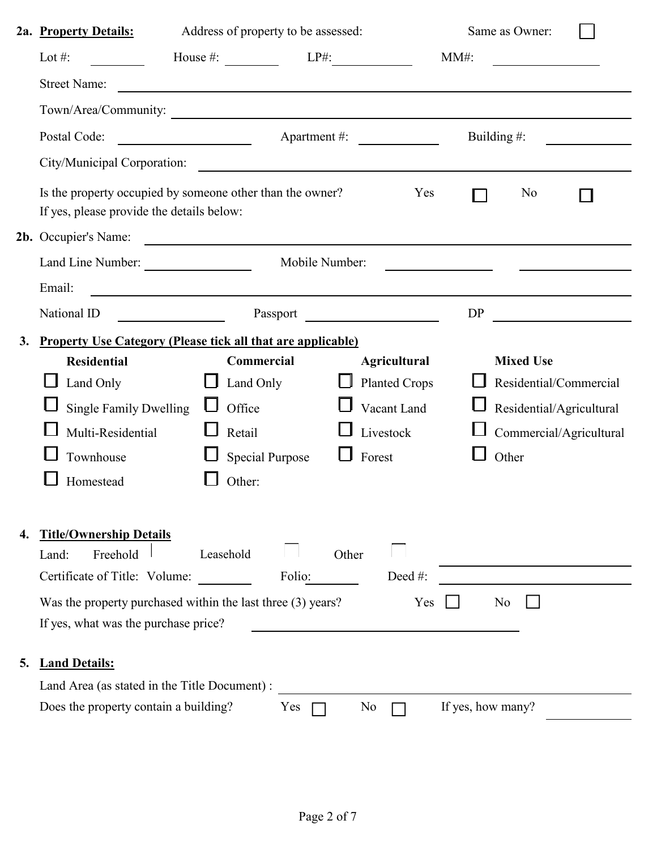|              | 2a. Property Details:                                                                                  | Address of property to be assessed:                                                                                  |                      |                                                                                                                      | Same as Owner:           |  |
|--------------|--------------------------------------------------------------------------------------------------------|----------------------------------------------------------------------------------------------------------------------|----------------------|----------------------------------------------------------------------------------------------------------------------|--------------------------|--|
|              | Lot #:                                                                                                 | House $\#$ : $LP\#$ :                                                                                                |                      | $MM#$ :                                                                                                              |                          |  |
|              | <b>Street Name:</b>                                                                                    | <u> 1980 - Johann Barn, amerikan besteman besteman besteman besteman besteman besteman besteman besteman bestema</u> |                      |                                                                                                                      |                          |  |
|              | Town/Area/Community:                                                                                   |                                                                                                                      |                      |                                                                                                                      |                          |  |
|              | Postal Code:                                                                                           |                                                                                                                      | Apartment #:         |                                                                                                                      | Building $#$ :           |  |
|              | City/Municipal Corporation:                                                                            | <u> 1980 - Jan Stein Bernstein, marking fan de Amerikaansk kommunenter (</u>                                         |                      |                                                                                                                      |                          |  |
|              | Is the property occupied by someone other than the owner?<br>If yes, please provide the details below: |                                                                                                                      |                      | Yes                                                                                                                  | No                       |  |
|              | 2b. Occupier's Name:                                                                                   | <u> 1980 - Johann Barbara, martin amerikan basar da</u>                                                              |                      |                                                                                                                      |                          |  |
|              | Land Line Number:                                                                                      |                                                                                                                      | Mobile Number:       | <u> 1990 - Johann Barbara, politik eta politik eta politik eta politik eta politik eta politik eta politik eta p</u> |                          |  |
|              | Email:                                                                                                 | <u> 2002 - Jan James James Barnett, amerikansk politik (d. 1878)</u>                                                 |                      |                                                                                                                      |                          |  |
|              | National ID<br>$\frac{1}{2}$                                                                           |                                                                                                                      | Passport             | <b>DP</b>                                                                                                            |                          |  |
| 3.           | <b>Property Use Category (Please tick all that are applicable)</b>                                     |                                                                                                                      |                      |                                                                                                                      |                          |  |
|              | <b>Residential</b>                                                                                     | Commercial                                                                                                           | <b>Agricultural</b>  |                                                                                                                      | <b>Mixed Use</b>         |  |
|              | Land Only                                                                                              | Land Only                                                                                                            | <b>Planted Crops</b> |                                                                                                                      | Residential/Commercial   |  |
|              | <b>Single Family Dwelling</b>                                                                          | Office                                                                                                               | Vacant Land          |                                                                                                                      | Residential/Agricultural |  |
|              | Multi-Residential                                                                                      | Retail                                                                                                               | Livestock            |                                                                                                                      | Commercial/Agricultural  |  |
|              | Townhouse                                                                                              | <b>Special Purpose</b>                                                                                               | Forest               |                                                                                                                      | Other                    |  |
|              | Homestead                                                                                              | Other:                                                                                                               |                      |                                                                                                                      |                          |  |
|              |                                                                                                        |                                                                                                                      |                      |                                                                                                                      |                          |  |
| 4.           | <b>Title/Ownership Details</b><br>Freehold<br>Land:                                                    | Leasehold                                                                                                            | Other                |                                                                                                                      |                          |  |
|              | Certificate of Title: Volume:                                                                          | Folio:                                                                                                               | Deed#:               |                                                                                                                      |                          |  |
|              | Was the property purchased within the last three (3) years?                                            |                                                                                                                      |                      | Yes                                                                                                                  | No                       |  |
|              | If yes, what was the purchase price?                                                                   |                                                                                                                      |                      |                                                                                                                      |                          |  |
| $\mathbf{5}$ | <b>Land Details:</b>                                                                                   |                                                                                                                      |                      |                                                                                                                      |                          |  |
|              | Land Area (as stated in the Title Document) :                                                          |                                                                                                                      |                      |                                                                                                                      |                          |  |
|              | Does the property contain a building?                                                                  | Yes                                                                                                                  | No                   | If yes, how many?                                                                                                    |                          |  |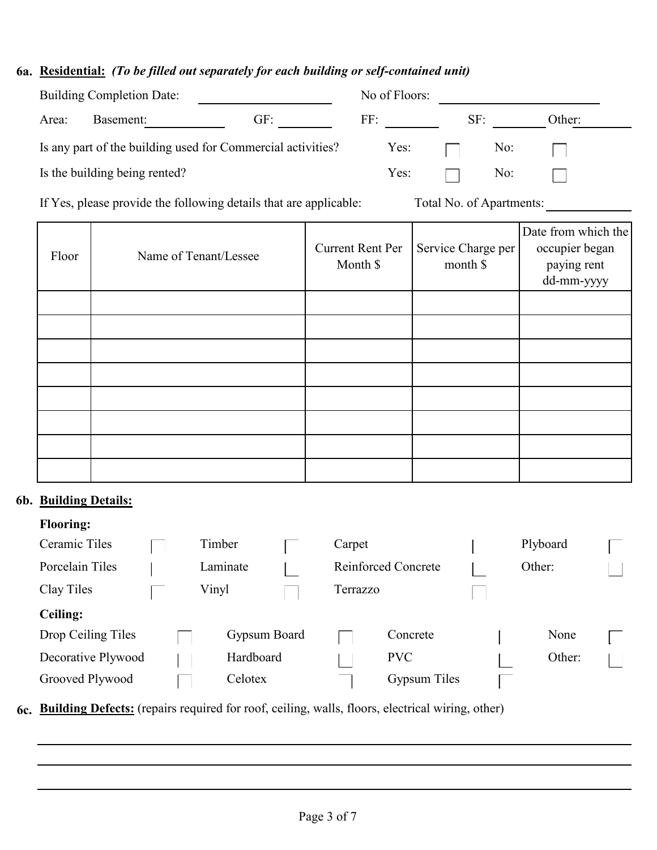### **6a. Residential:** *(To be filled out separately for each building or self-contained unit)*

| <b>Building Completion Date:</b> |                               |                                                             |                       |            |  |
|----------------------------------|-------------------------------|-------------------------------------------------------------|-----------------------|------------|--|
| GF:                              | FF:                           |                                                             |                       | Other:     |  |
|                                  |                               |                                                             |                       |            |  |
|                                  | Yes:                          |                                                             | No:                   |            |  |
|                                  | Is the building being rented? | Is any part of the building used for Commercial activities? | No of Floors:<br>Yes: | SF:<br>No: |  |

If Yes, please provide the following details that are applicable: Total No. of Apartments:

| Floor | Name of Tenant/Lessee | <b>Current Rent Per</b><br>Month \$ | Service Charge per<br>month \$ | Date from which the<br>occupier began<br>paying rent<br>dd-mm-yyyy |
|-------|-----------------------|-------------------------------------|--------------------------------|--------------------------------------------------------------------|
|       |                       |                                     |                                |                                                                    |
|       |                       |                                     |                                |                                                                    |
|       |                       |                                     |                                |                                                                    |
|       |                       |                                     |                                |                                                                    |
|       |                       |                                     |                                |                                                                    |
|       |                       |                                     |                                |                                                                    |
|       |                       |                                     |                                |                                                                    |
|       |                       |                                     |                                |                                                                    |

# **6b. Building Details:**

## **Flooring:**

| Ceramic Tiles      | Timber       | Carpet   |                            | Plyboard |  |
|--------------------|--------------|----------|----------------------------|----------|--|
| Porcelain Tiles    | Laminate     |          | <b>Reinforced Concrete</b> | Other:   |  |
| Clay Tiles         | Vinyl        | Terrazzo |                            |          |  |
| <b>Ceiling:</b>    |              |          |                            |          |  |
| Drop Ceiling Tiles | Gypsum Board |          | Concrete                   | None     |  |
| Decorative Plywood | Hardboard    |          | <b>PVC</b>                 | Other:   |  |
| Grooved Plywood    | Celotex      |          | Gypsum Tiles               |          |  |

**6c. Building Defects:** (repairs required for roof, ceiling, walls, floors, electrical wiring, other)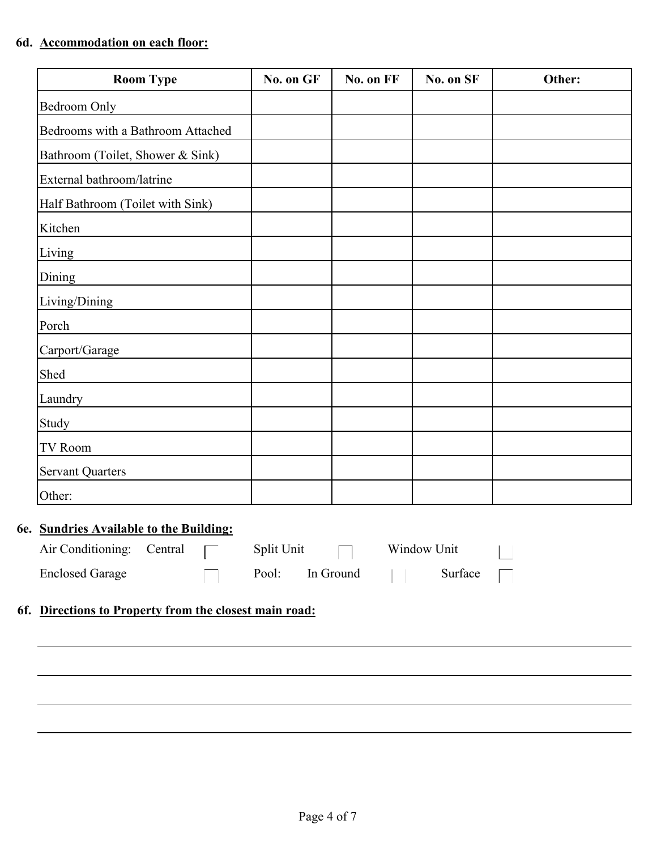### **6d. Accommodation on each floor:**

| <b>Room Type</b>                  | No. on GF | No. on FF | No. on SF | Other: |
|-----------------------------------|-----------|-----------|-----------|--------|
| <b>Bedroom Only</b>               |           |           |           |        |
| Bedrooms with a Bathroom Attached |           |           |           |        |
| Bathroom (Toilet, Shower & Sink)  |           |           |           |        |
| External bathroom/latrine         |           |           |           |        |
| Half Bathroom (Toilet with Sink)  |           |           |           |        |
| Kitchen                           |           |           |           |        |
| Living                            |           |           |           |        |
| Dining                            |           |           |           |        |
| Living/Dining                     |           |           |           |        |
| Porch                             |           |           |           |        |
| Carport/Garage                    |           |           |           |        |
| Shed                              |           |           |           |        |
| Laundry                           |           |           |           |        |
| Study                             |           |           |           |        |
| TV Room                           |           |           |           |        |
| <b>Servant Quarters</b>           |           |           |           |        |
| Other:                            |           |           |           |        |

### **6e. Sundries Available to the Building:**

| Air Conditioning: Central |  | Split Unit |           | Window Unit |  |
|---------------------------|--|------------|-----------|-------------|--|
| <b>Enclosed Garage</b>    |  | Pool:      | In Ground | Surface     |  |

# **6f. Directions to Property from the closest main road:**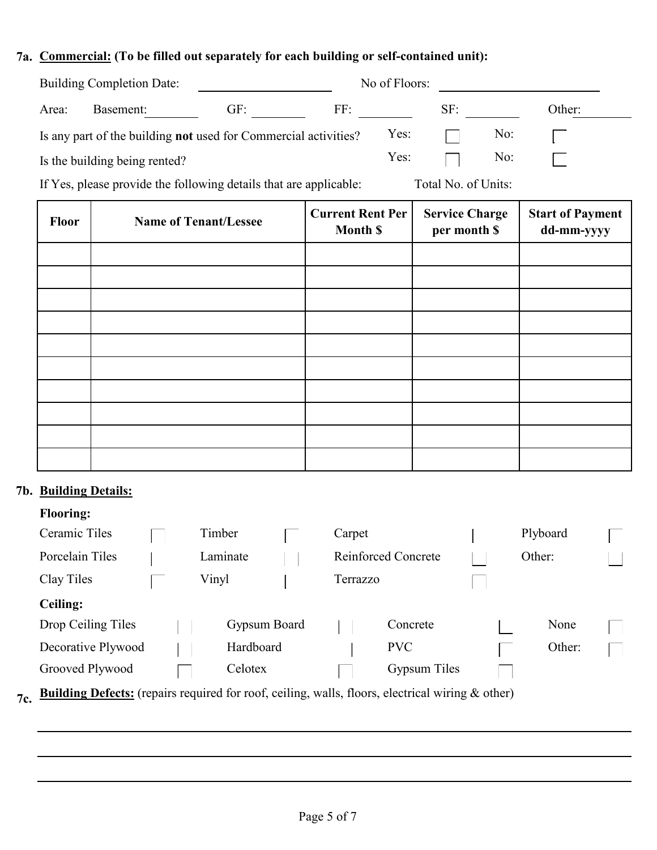# **7a. Commercial: (To be filled out separately for each building or self-contained unit):**

| <b>Building Completion Date:</b> |                                                                        |                                                                                                                                     | No of Floors: |      |        |                                                                                                                                                                                                                                                                                                                                    |        |  |
|----------------------------------|------------------------------------------------------------------------|-------------------------------------------------------------------------------------------------------------------------------------|---------------|------|--------|------------------------------------------------------------------------------------------------------------------------------------------------------------------------------------------------------------------------------------------------------------------------------------------------------------------------------------|--------|--|
| Area:                            | Basement:                                                              | GF:                                                                                                                                 | FF:           |      | SF:    |                                                                                                                                                                                                                                                                                                                                    | Other: |  |
|                                  | Is any part of the building <b>not</b> used for Commercial activities? |                                                                                                                                     |               | Yes: |        | No:                                                                                                                                                                                                                                                                                                                                |        |  |
|                                  | Is the building being rented?                                          |                                                                                                                                     |               | Yes: |        | No:                                                                                                                                                                                                                                                                                                                                |        |  |
| $T \wedge T$                     |                                                                        | $\mathbf{r}$ and $\mathbf{r}$ and $\mathbf{r}$ and $\mathbf{r}$ and $\mathbf{r}$ and $\mathbf{r}$ and $\mathbf{r}$ and $\mathbf{r}$ |               |      | $-111$ | $\mathbf{A}$ $\mathbf{A}$ $\mathbf{A}$ $\mathbf{A}$ $\mathbf{A}$ $\mathbf{A}$ $\mathbf{A}$ $\mathbf{A}$ $\mathbf{A}$ $\mathbf{A}$ $\mathbf{A}$ $\mathbf{A}$ $\mathbf{A}$ $\mathbf{A}$ $\mathbf{A}$ $\mathbf{A}$ $\mathbf{A}$ $\mathbf{A}$ $\mathbf{A}$ $\mathbf{A}$ $\mathbf{A}$ $\mathbf{A}$ $\mathbf{A}$ $\mathbf{A}$ $\mathbf{$ |        |  |

If Yes, please provide the following details that are applicable: Total No. of Units:

| Floor | <b>Name of Tenant/Lessee</b> | <b>Current Rent Per</b><br><b>Month \$</b> | <b>Service Charge</b><br>per month \$ | <b>Start of Payment</b><br>dd-mm-yyyy |
|-------|------------------------------|--------------------------------------------|---------------------------------------|---------------------------------------|
|       |                              |                                            |                                       |                                       |
|       |                              |                                            |                                       |                                       |
|       |                              |                                            |                                       |                                       |
|       |                              |                                            |                                       |                                       |
|       |                              |                                            |                                       |                                       |
|       |                              |                                            |                                       |                                       |
|       |                              |                                            |                                       |                                       |
|       |                              |                                            |                                       |                                       |
|       |                              |                                            |                                       |                                       |
|       |                              |                                            |                                       |                                       |

# **7b. Building Details:**

|  | <b>Flooring:</b> |
|--|------------------|
|  |                  |
|  |                  |

| Ceramic Tiles      | Timber       | Carpet   |                            | Plyboard |  |
|--------------------|--------------|----------|----------------------------|----------|--|
| Porcelain Tiles    | Laminate     |          | <b>Reinforced Concrete</b> | Other:   |  |
| Clay Tiles         | Vinyl        | Terrazzo |                            |          |  |
| <b>Ceiling:</b>    |              |          |                            |          |  |
| Drop Ceiling Tiles | Gypsum Board |          | Concrete                   | None     |  |
| Decorative Plywood | Hardboard    |          | <b>PVC</b>                 | Other:   |  |
| Grooved Plywood    | Celotex      |          | Gypsum Tiles               |          |  |
|                    |              |          | .                          |          |  |

**7c. Building Defects:** (repairs required for roof, ceiling, walls, floors, electrical wiring & other)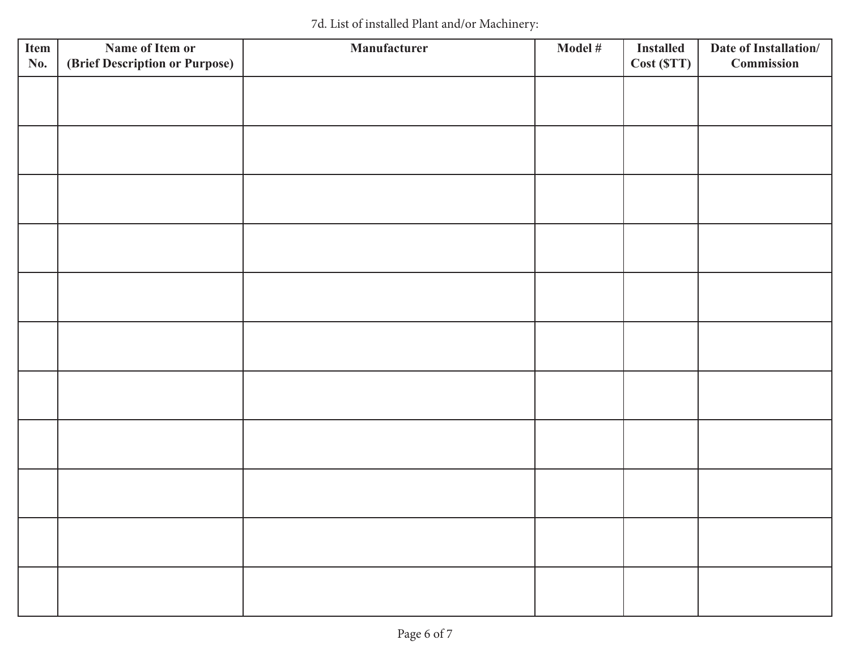| Item<br>No. | Name of Item or<br>(Brief Description or Purpose) | Manufacturer | Model # | <b>Installed</b><br>Cost (STT) | Date of Installation/<br>Commission |
|-------------|---------------------------------------------------|--------------|---------|--------------------------------|-------------------------------------|
|             |                                                   |              |         |                                |                                     |
|             |                                                   |              |         |                                |                                     |
|             |                                                   |              |         |                                |                                     |
|             |                                                   |              |         |                                |                                     |
|             |                                                   |              |         |                                |                                     |
|             |                                                   |              |         |                                |                                     |
|             |                                                   |              |         |                                |                                     |
|             |                                                   |              |         |                                |                                     |
|             |                                                   |              |         |                                |                                     |
|             |                                                   |              |         |                                |                                     |
|             |                                                   |              |         |                                |                                     |